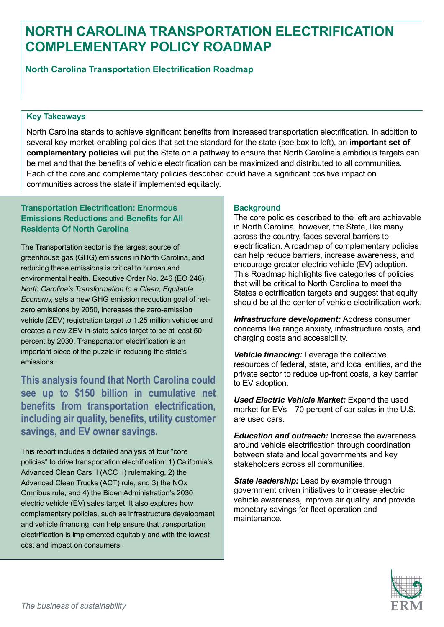# **NORTH CAROLINA TRANSPORTATION ELECTRIFICATION COMPLEMENTARY POLICY ROADMAP**

**North Carolina Transportation Electrification Roadmap** 

### **Key Takeaways**

North Carolina stands to achieve significant benefits from increased transportation electrification. In addition to several key market-enabling policies that set the standard for the state (see box to left), an **important set of complementary policies** will put the State on a pathway to ensure that North Carolina's ambitious targets can be met and that the benefits of vehicle electrification can be maximized and distributed to all communities. Each of the core and complementary policies described could have a significant positive impact on communities across the state if implemented equitably.

# **Transportation Electrification: Enormous Emissions Reductions and Benefits for All Residents Of North Carolina**

The Transportation sector is the largest source of greenhouse gas (GHG) emissions in North Carolina, and reducing these emissions is critical to human and environmental health. Executive Order No. 246 (EO 246), *North Carolina's Transformation to a Clean, Equitable Economy,* sets a new GHG emission reduction goal of netzero emissions by 2050, increases the zero-emission vehicle (ZEV) registration target to 1.25 million vehicles and creates a new ZEV in-state sales target to be at least 50 percent by 2030. Transportation electrification is an important piece of the puzzle in reducing the state's emissions.

**This analysis found that North Carolina could see up to \$150 billion in cumulative net benefits from transportation electrification, including air quality, benefits, utility customer savings, and EV owner savings.** 

This report includes a detailed analysis of four "core policies" to drive transportation electrification: 1) California's Advanced Clean Cars II (ACC II) rulemaking, 2) the Advanced Clean Trucks (ACT) rule, and 3) the NOx Omnibus rule, and 4) the Biden Administration's 2030 electric vehicle (EV) sales target. It also explores how complementary policies, such as infrastructure development and vehicle financing, can help ensure that transportation electrification is implemented equitably and with the lowest cost and impact on consumers.

# **Background**

The core policies described to the left are achievable in North Carolina, however, the State, like many across the country, faces several barriers to electrification. A roadmap of complementary policies can help reduce barriers, increase awareness, and encourage greater electric vehicle (EV) adoption. This Roadmap highlights five categories of policies that will be critical to North Carolina to meet the States electrification targets and suggest that equity should be at the center of vehicle electrification work.

*Infrastructure development:* Address consumer concerns like range anxiety, infrastructure costs, and charging costs and accessibility.

*Vehicle financing:* Leverage the collective resources of federal, state, and local entities, and the private sector to reduce up-front costs, a key barrier to EV adoption.

*Used Electric Vehicle Market:* Expand the used market for EVs—70 percent of car sales in the U.S. are used cars.

*Education and outreach:* Increase the awareness around vehicle electrification through coordination between state and local governments and key stakeholders across all communities.

*State leadership:* Lead by example through government driven initiatives to increase electric vehicle awareness, improve air quality, and provide monetary savings for fleet operation and maintenance.